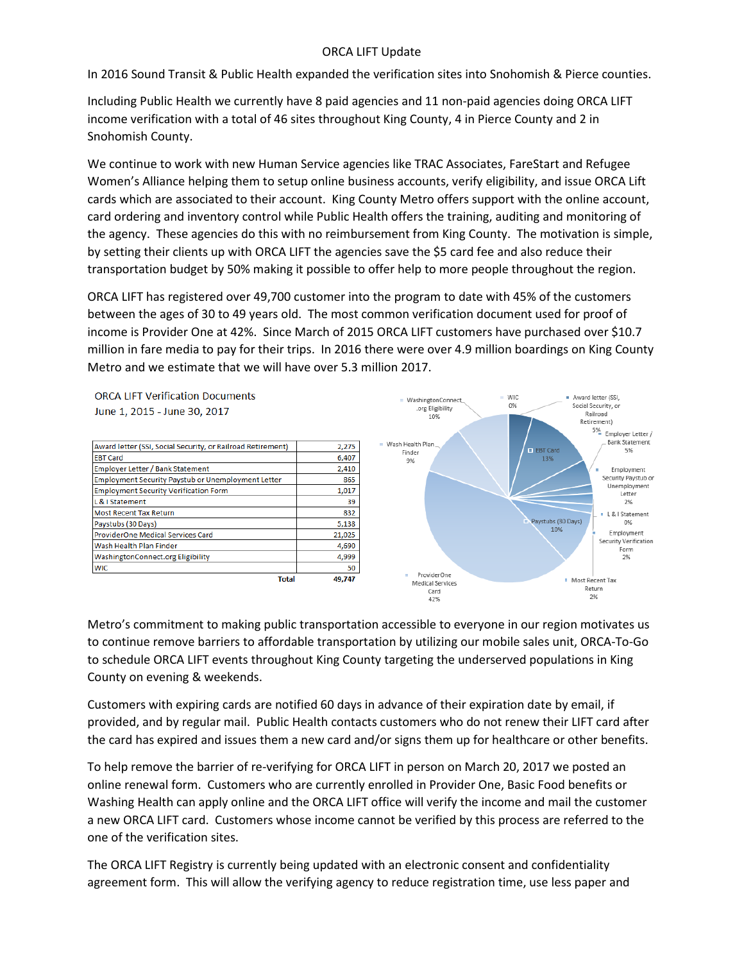## ORCA LIFT Update

In 2016 Sound Transit & Public Health expanded the verification sites into Snohomish & Pierce counties.

Including Public Health we currently have 8 paid agencies and 11 non-paid agencies doing ORCA LIFT income verification with a total of 46 sites throughout King County, 4 in Pierce County and 2 in Snohomish County.

We continue to work with new Human Service agencies like TRAC Associates, FareStart and Refugee Women's Alliance helping them to setup online business accounts, verify eligibility, and issue ORCA Lift cards which are associated to their account. King County Metro offers support with the online account, card ordering and inventory control while Public Health offers the training, auditing and monitoring of the agency. These agencies do this with no reimbursement from King County. The motivation is simple, by setting their clients up with ORCA LIFT the agencies save the \$5 card fee and also reduce their transportation budget by 50% making it possible to offer help to more people throughout the region.

ORCA LIFT has registered over 49,700 customer into the program to date with 45% of the customers between the ages of 30 to 49 years old. The most common verification document used for proof of income is Provider One at 42%. Since March of 2015 ORCA LIFT customers have purchased over \$10.7 million in fare media to pay for their trips. In 2016 there were over 4.9 million boardings on King County Metro and we estimate that we will have over 5.3 million 2017.

**ORCA LIFT Verification Documents** June 1, 2015 - June 30, 2017

| <b>Total</b>                                                | 49.747 |
|-------------------------------------------------------------|--------|
| <b>WIC</b>                                                  | 50     |
| WashingtonConnect.org Eligibility                           | 4,999  |
| Wash Health Plan Finder                                     | 4,690  |
| ProviderOne Medical Services Card                           | 21,025 |
| Paystubs (30 Days)                                          | 5,138  |
| <b>Most Recent Tax Return</b>                               | 832    |
| L & I Statement                                             | 39     |
| <b>Employment Security Verification Form</b>                | 1,017  |
| <b>Employment Security Paystub or Unemployment Letter</b>   | 865    |
| Employer Letter / Bank Statement                            | 2,410  |
| <b>EBT Card</b>                                             | 6,407  |
| Award letter (SSI, Social Security, or Railroad Retirement) | 2,275  |
|                                                             |        |



Metro's commitment to making public transportation accessible to everyone in our region motivates us to continue remove barriers to affordable transportation by utilizing our mobile sales unit, ORCA-To-Go to schedule ORCA LIFT events throughout King County targeting the underserved populations in King County on evening & weekends.

Customers with expiring cards are notified 60 days in advance of their expiration date by email, if provided, and by regular mail. Public Health contacts customers who do not renew their LIFT card after the card has expired and issues them a new card and/or signs them up for healthcare or other benefits.

To help remove the barrier of re-verifying for ORCA LIFT in person on March 20, 2017 we posted an online renewal form. Customers who are currently enrolled in Provider One, Basic Food benefits or Washing Health can apply online and the ORCA LIFT office will verify the income and mail the customer a new ORCA LIFT card. Customers whose income cannot be verified by this process are referred to the one of the verification sites.

The ORCA LIFT Registry is currently being updated with an electronic consent and confidentiality agreement form. This will allow the verifying agency to reduce registration time, use less paper and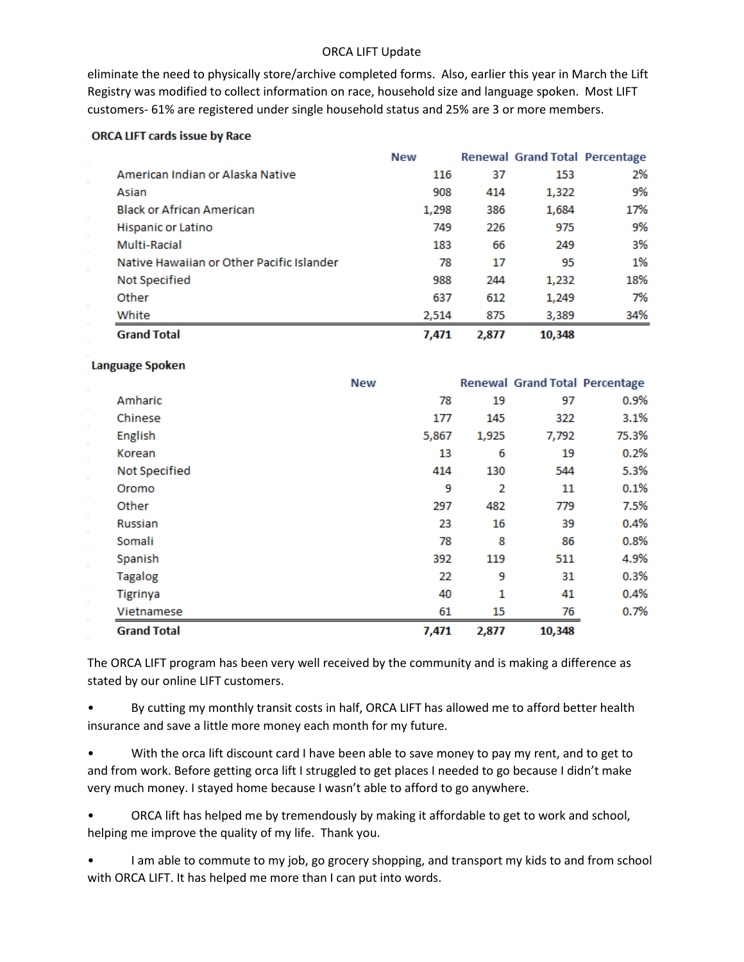### ORCA LIFT Update

eliminate the need to physically store/archive completed forms. Also, earlier this year in March the Lift Registry was modified to collect information on race, household size and language spoken. Most LIFT customers- 61% are registered under single household status and 25% are 3 or more members.

#### **ORCA LIFT cards issue by Race**

|                                           | <b>New</b> |       | Renewal Grand Total Percentage |     |
|-------------------------------------------|------------|-------|--------------------------------|-----|
| American Indian or Alaska Native          | 116        | 37    | 153                            | 2%  |
| Asian                                     | 908        | 414   | 1,322                          | 9%  |
| <b>Black or African American</b>          | 1,298      | 386   | 1,684                          | 17% |
| Hispanic or Latino                        | 749        | 226   | 975                            | 9%  |
| Multi-Racial                              | 183        | 66    | 249                            | 3%  |
| Native Hawaiian or Other Pacific Islander | 78         | 17    | 95                             | 1%  |
| Not Specified                             | 988        | 244   | 1,232                          | 18% |
| Other                                     | 637        | 612   | 1,249                          | 7%  |
| White                                     | 2.514      | 875   | 3.389                          | 34% |
| <b>Grand Total</b>                        | 7,471      | 2,877 | 10.348                         |     |

#### Language Spoken

|                    | <b>New</b> |                | Renewal Grand Total Percentage |       |
|--------------------|------------|----------------|--------------------------------|-------|
| Amharic            | 78         | 19             | 97                             | 0.9%  |
| Chinese            | 177        | 145            | 322                            | 3.1%  |
| English            | 5,867      | 1,925          | 7,792                          | 75.3% |
| Korean             | 13         | 6              | 19                             | 0.2%  |
| Not Specified      | 414        | 130            | 544                            | 5.3%  |
| Oromo              | 9          | $\overline{2}$ | 11                             | 0.1%  |
| Other              | 297        | 482            | 779                            | 7.5%  |
| <b>Russian</b>     | 23         | 16             | 39                             | 0.4%  |
| Somali             | 78         | 8              | 86                             | 0.8%  |
| Spanish            | 392        | 119            | 511                            | 4.9%  |
| <b>Tagalog</b>     | 22         | 9              | 31                             | 0.3%  |
| <b>Tigrinya</b>    | 40         | 1              | 41                             | 0.4%  |
| Vietnamese         | 61         | 15             | 76                             | 0.7%  |
| <b>Grand Total</b> | 7,471      | 2,877          | 10,348                         |       |

The ORCA LIFT program has been very well received by the community and is making a difference as stated by our online LIFT customers.

• By cutting my monthly transit costs in half, ORCA LIFT has allowed me to afford better health insurance and save a little more money each month for my future.

• With the orca lift discount card I have been able to save money to pay my rent, and to get to and from work. Before getting orca lift I struggled to get places I needed to go because I didn't make very much money. I stayed home because I wasn't able to afford to go anywhere.

• ORCA lift has helped me by tremendously by making it affordable to get to work and school, helping me improve the quality of my life. Thank you.

I am able to commute to my job, go grocery shopping, and transport my kids to and from school with ORCA LIFT. It has helped me more than I can put into words.